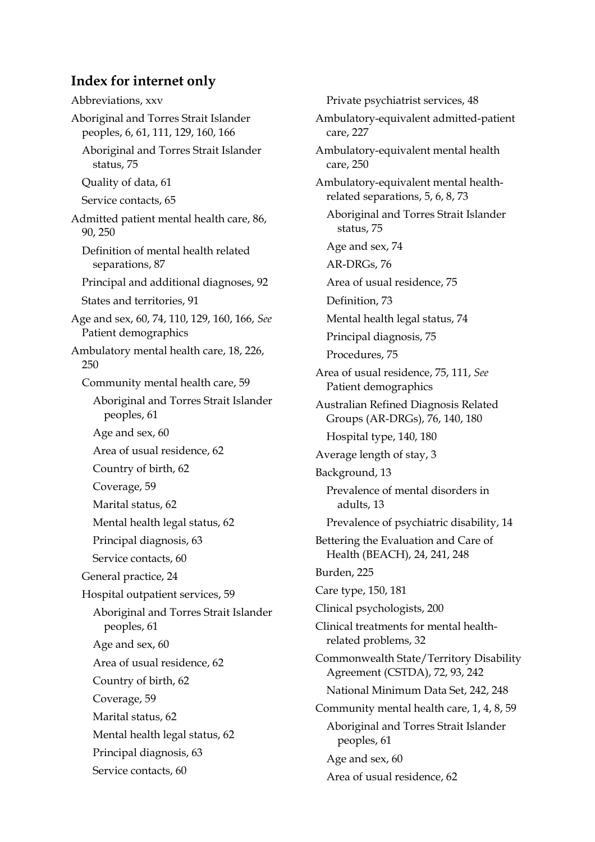## **Index for internet only**

Abbreviations, xxv Aboriginal and Torres Strait Islander peoples, 6, 61, 111, 129, 160, 166 Aboriginal and Torres Strait Islander status, 75 Quality of data, 61 Service contacts, 65 Admitted patient mental health care, 86, 90, 250 Definition of mental health related separations, 87 Principal and additional diagnoses, 92 States and territories, 91 Age and sex, 60, 74, 110, 129, 160, 166, *See* Patient demographics Ambulatory mental health care, 18, 226, 250 Community mental health care, 59 Aboriginal and Torres Strait Islander peoples, 61 Age and sex, 60 Area of usual residence, 62 Country of birth, 62 Coverage, 59 Marital status, 62 Mental health legal status, 62 Principal diagnosis, 63 Service contacts, 60 General practice, 24 Hospital outpatient services, 59 Aboriginal and Torres Strait Islander peoples, 61 Age and sex, 60 Area of usual residence, 62 Country of birth, 62 Coverage, 59 Marital status, 62 Mental health legal status, 62 Principal diagnosis, 63 Service contacts, 60

Private psychiatrist services, 48 Ambulatory-equivalent admitted-patient care, 227 Ambulatory-equivalent mental health care, 250 Ambulatory-equivalent mental healthrelated separations, 5, 6, 8, 73 Aboriginal and Torres Strait Islander status, 75 Age and sex, 74 AR-DRGs, 76 Area of usual residence, 75 Definition, 73 Mental health legal status, 74 Principal diagnosis, 75 Procedures, 75 Area of usual residence, 75, 111, *See* Patient demographics Australian Refined Diagnosis Related Groups (AR-DRGs), 76, 140, 180 Hospital type, 140, 180 Average length of stay, 3 Background, 13 Prevalence of mental disorders in adults, 13 Prevalence of psychiatric disability, 14 Bettering the Evaluation and Care of Health (BEACH), 24, 241, 248 Burden, 225 Care type, 150, 181 Clinical psychologists, 200 Clinical treatments for mental healthrelated problems, 32 Commonwealth State/Territory Disability Agreement (CSTDA), 72, 93, 242 National Minimum Data Set, 242, 248 Community mental health care, 1, 4, 8, 59 Aboriginal and Torres Strait Islander peoples, 61 Age and sex, 60

Area of usual residence, 62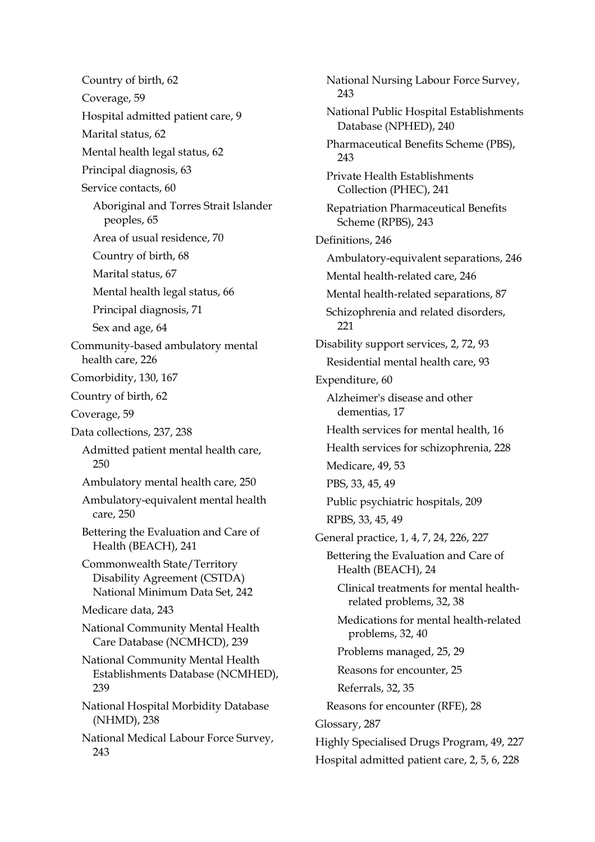Country of birth, 62 Coverage, 59 Hospital admitted patient care, 9 Marital status, 62 Mental health legal status, 62 Principal diagnosis, 63 Service contacts, 60 Aboriginal and Torres Strait Islander peoples, 65 Area of usual residence, 70 Country of birth, 68 Marital status, 67 Mental health legal status, 66 Principal diagnosis, 71 Sex and age, 64 Community-based ambulatory mental health care, 226 Comorbidity, 130, 167 Country of birth, 62 Coverage, 59 Data collections, 237, 238 Admitted patient mental health care, 250 Ambulatory mental health care, 250 Ambulatory-equivalent mental health care, 250 Bettering the Evaluation and Care of Health (BEACH), 241 Commonwealth State/Territory Disability Agreement (CSTDA) National Minimum Data Set, 242 Medicare data, 243 National Community Mental Health Care Database (NCMHCD), 239 National Community Mental Health Establishments Database (NCMHED), 239 National Hospital Morbidity Database (NHMD), 238 National Medical Labour Force Survey, 243

National Nursing Labour Force Survey, 243 National Public Hospital Establishments Database (NPHED), 240 Pharmaceutical Benefits Scheme (PBS), 243 Private Health Establishments Collection (PHEC), 241 Repatriation Pharmaceutical Benefits Scheme (RPBS), 243 Definitions, 246 Ambulatory-equivalent separations, 246 Mental health-related care, 246 Mental health-related separations, 87 Schizophrenia and related disorders, 221 Disability support services, 2, 72, 93 Residential mental health care, 93 Expenditure, 60 Alzheimer's disease and other dementias, 17 Health services for mental health, 16 Health services for schizophrenia, 228 Medicare, 49, 53 PBS, 33, 45, 49 Public psychiatric hospitals, 209 RPBS, 33, 45, 49 General practice, 1, 4, 7, 24, 226, 227 Bettering the Evaluation and Care of Health (BEACH), 24 Clinical treatments for mental healthrelated problems, 32, 38 Medications for mental health-related problems, 32, 40 Problems managed, 25, 29 Reasons for encounter, 25 Referrals, 32, 35 Reasons for encounter (RFE), 28 Glossary, 287 Highly Specialised Drugs Program, 49, 227 Hospital admitted patient care, 2, 5, 6, 228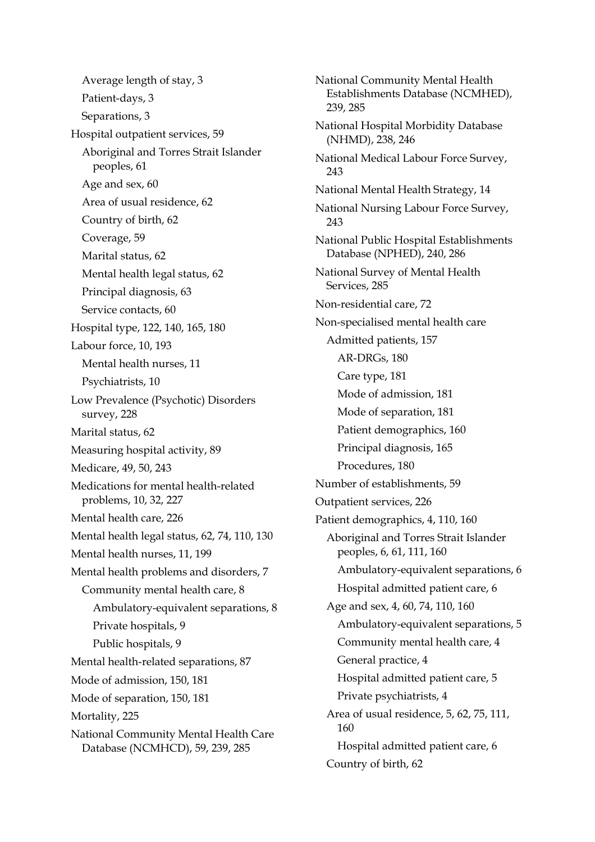Average length of stay, 3 Patient-days, 3 Separations, 3 Hospital outpatient services, 59 Aboriginal and Torres Strait Islander peoples, 61 Age and sex, 60 Area of usual residence, 62 Country of birth, 62 Coverage, 59 Marital status, 62 Mental health legal status, 62 Principal diagnosis, 63 Service contacts, 60 Hospital type, 122, 140, 165, 180 Labour force, 10, 193 Mental health nurses, 11 Psychiatrists, 10 Low Prevalence (Psychotic) Disorders survey, 228 Marital status, 62 Measuring hospital activity, 89 Medicare, 49, 50, 243 Medications for mental health-related problems, 10, 32, 227 Mental health care, 226 Mental health legal status, 62, 74, 110, 130 Mental health nurses, 11, 199 Mental health problems and disorders, 7 Community mental health care, 8 Ambulatory-equivalent separations, 8 Private hospitals, 9 Public hospitals, 9 Mental health-related separations, 87 Mode of admission, 150, 181 Mode of separation, 150, 181 Mortality, 225 National Community Mental Health Care Database (NCMHCD), 59, 239, 285

National Community Mental Health Establishments Database (NCMHED), 239, 285 National Hospital Morbidity Database (NHMD), 238, 246 National Medical Labour Force Survey, 243 National Mental Health Strategy, 14 National Nursing Labour Force Survey, 243 National Public Hospital Establishments Database (NPHED), 240, 286 National Survey of Mental Health Services, 285 Non-residential care, 72 Non-specialised mental health care Admitted patients, 157 AR-DRGs, 180 Care type, 181 Mode of admission, 181 Mode of separation, 181 Patient demographics, 160 Principal diagnosis, 165 Procedures, 180 Number of establishments, 59 Outpatient services, 226 Patient demographics, 4, 110, 160 Aboriginal and Torres Strait Islander peoples, 6, 61, 111, 160 Ambulatory-equivalent separations, 6 Hospital admitted patient care, 6 Age and sex, 4, 60, 74, 110, 160 Ambulatory-equivalent separations, 5 Community mental health care, 4 General practice, 4 Hospital admitted patient care, 5 Private psychiatrists, 4 Area of usual residence, 5, 62, 75, 111, 160 Hospital admitted patient care, 6 Country of birth, 62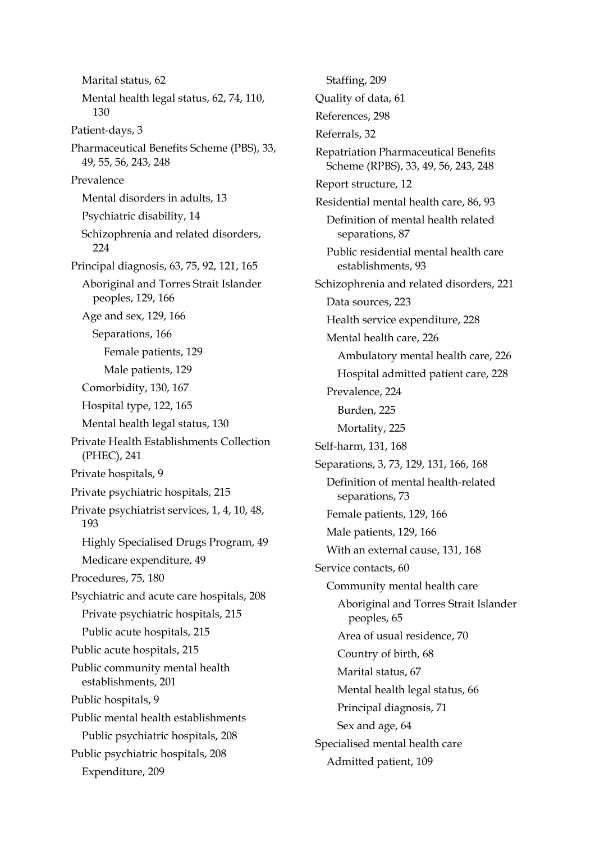Marital status, 62 Mental health legal status, 62, 74, 110, 130 Patient-days, 3 Pharmaceutical Benefits Scheme (PBS), 33, 49, 55, 56, 243, 248 Prevalence Mental disorders in adults, 13 Psychiatric disability, 14 Schizophrenia and related disorders, 224 Principal diagnosis, 63, 75, 92, 121, 165 Aboriginal and Torres Strait Islander peoples, 129, 166 Age and sex, 129, 166 Separations, 166 Female patients, 129 Male patients, 129 Comorbidity, 130, 167 Hospital type, 122, 165 Mental health legal status, 130 Private Health Establishments Collection (PHEC), 241 Private hospitals, 9 Private psychiatric hospitals, 215 Private psychiatrist services, 1, 4, 10, 48, 193 Highly Specialised Drugs Program, 49 Medicare expenditure, 49 Procedures, 75, 180 Psychiatric and acute care hospitals, 208 Private psychiatric hospitals, 215 Public acute hospitals, 215 Public acute hospitals, 215 Public community mental health establishments, 201 Public hospitals, 9 Public mental health establishments Public psychiatric hospitals, 208 Public psychiatric hospitals, 208 Expenditure, 209

Staffing, 209 Quality of data, 61 References, 298 Referrals, 32 Repatriation Pharmaceutical Benefits Scheme (RPBS), 33, 49, 56, 243, 248 Report structure, 12 Residential mental health care, 86, 93 Definition of mental health related separations, 87 Public residential mental health care establishments, 93 Schizophrenia and related disorders, 221 Data sources, 223 Health service expenditure, 228 Mental health care, 226 Ambulatory mental health care, 226 Hospital admitted patient care, 228 Prevalence, 224 Burden, 225 Mortality, 225 Self-harm, 131, 168 Separations, 3, 73, 129, 131, 166, 168 Definition of mental health-related separations, 73 Female patients, 129, 166 Male patients, 129, 166 With an external cause, 131, 168 Service contacts, 60 Community mental health care Aboriginal and Torres Strait Islander peoples, 65 Area of usual residence, 70 Country of birth, 68 Marital status, 67 Mental health legal status, 66 Principal diagnosis, 71 Sex and age, 64 Specialised mental health care Admitted patient, 109